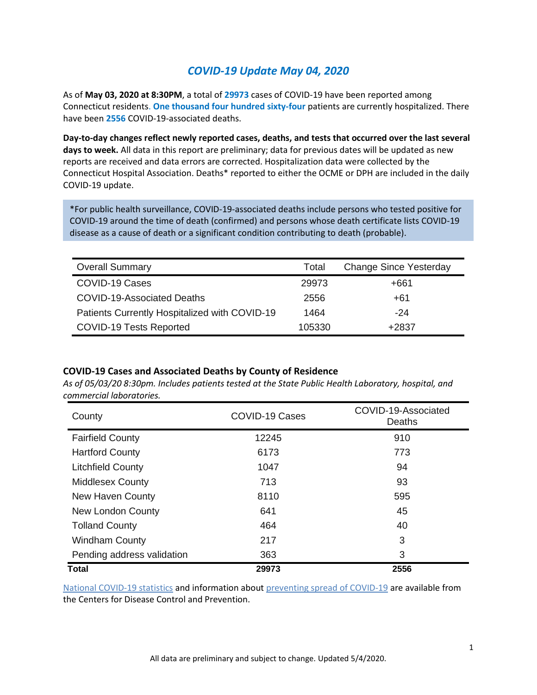## *COVID-19 Update May 04, 2020*

As of **May 03, 2020 at 8:30PM**, a total of **29973** cases of COVID-19 have been reported among Connecticut residents. **One thousand four hundred sixty-four** patients are currently hospitalized. There have been **2556** COVID-19-associated deaths.

**Day-to-day changes reflect newly reported cases, deaths, and tests that occurred over the last several days to week.** All data in this report are preliminary; data for previous dates will be updated as new reports are received and data errors are corrected. Hospitalization data were collected by the Connecticut Hospital Association. Deaths\* reported to either the OCME or DPH are included in the daily COVID-19 update.

\*For public health surveillance, COVID-19-associated deaths include persons who tested positive for COVID-19 around the time of death (confirmed) and persons whose death certificate lists COVID-19 disease as a cause of death or a significant condition contributing to death (probable).

| <b>Overall Summary</b>                        | Total  | <b>Change Since Yesterday</b> |
|-----------------------------------------------|--------|-------------------------------|
| COVID-19 Cases                                | 29973  | +661                          |
| COVID-19-Associated Deaths                    | 2556   | +61                           |
| Patients Currently Hospitalized with COVID-19 | 1464   | $-24$                         |
| <b>COVID-19 Tests Reported</b>                | 105330 | +2837                         |

#### **COVID-19 Cases and Associated Deaths by County of Residence**

*As of 05/03/20 8:30pm. Includes patients tested at the State Public Health Laboratory, hospital, and commercial laboratories.*

| County                     | <b>COVID-19 Cases</b> | COVID-19-Associated<br>Deaths |  |
|----------------------------|-----------------------|-------------------------------|--|
| <b>Fairfield County</b>    | 12245                 | 910                           |  |
| <b>Hartford County</b>     | 6173                  | 773                           |  |
| <b>Litchfield County</b>   | 1047                  | 94                            |  |
| <b>Middlesex County</b>    | 713                   | 93                            |  |
| <b>New Haven County</b>    | 8110                  | 595                           |  |
| <b>New London County</b>   | 641                   | 45                            |  |
| <b>Tolland County</b>      | 464                   | 40                            |  |
| <b>Windham County</b>      | 217                   | 3                             |  |
| Pending address validation | 363                   | 3                             |  |
| <b>Total</b>               | 29973                 | 2556                          |  |

[National COVID-19 statistics](https://www.cdc.gov/coronavirus/2019-ncov/cases-updates/cases-in-us.html) and information abou[t preventing spread](https://www.cdc.gov/coronavirus/2019-ncov/prevent-getting-sick/prevention.html) of COVID-19 are available from the Centers for Disease Control and Prevention.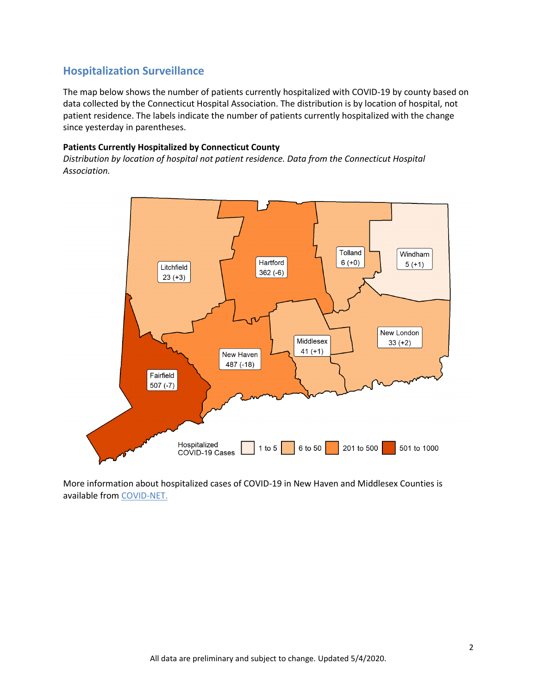### **Hospitalization Surveillance**

The map below shows the number of patients currently hospitalized with COVID-19 by county based on data collected by the Connecticut Hospital Association. The distribution is by location of hospital, not patient residence. The labels indicate the number of patients currently hospitalized with the change since yesterday in parentheses.

#### **Patients Currently Hospitalized by Connecticut County**

*Distribution by location of hospital not patient residence. Data from the Connecticut Hospital Association.*



More information about hospitalized cases of COVID-19 in New Haven and Middlesex Counties is available from [COVID-NET.](https://gis.cdc.gov/grasp/COVIDNet/COVID19_3.html)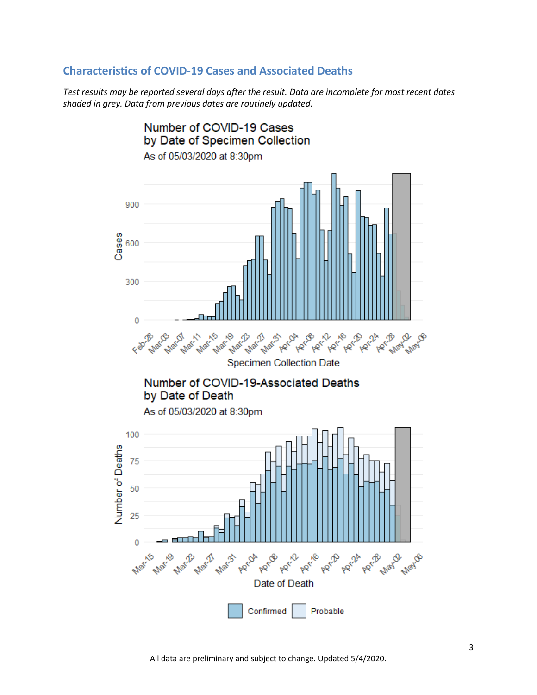### **Characteristics of COVID-19 Cases and Associated Deaths**

*Test results may be reported several days after the result. Data are incomplete for most recent dates shaded in grey. Data from previous dates are routinely updated.*

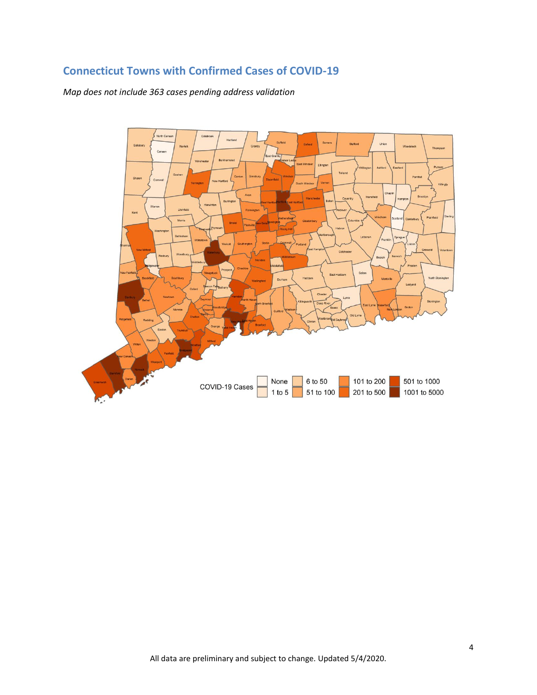# **Connecticut Towns with Confirmed Cases of COVID-19**

*Map does not include 363 cases pending address validation*

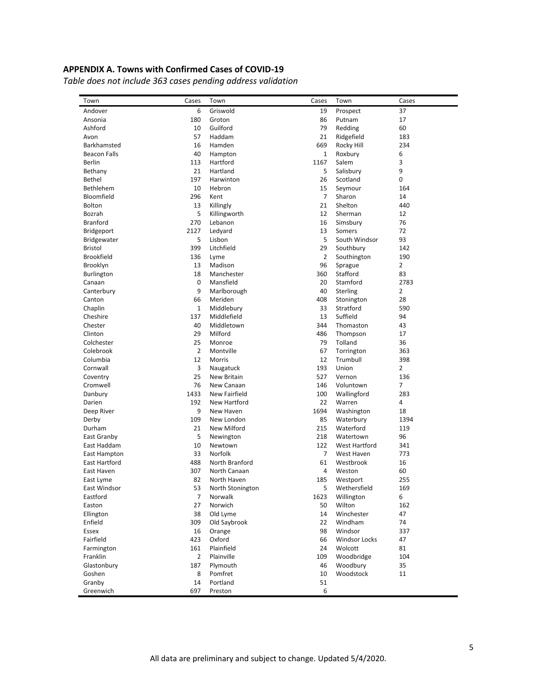### **APPENDIX A. Towns with Confirmed Cases of COVID-19**

*Table does not include 363 cases pending address validation*

| Cases<br>Town               | Town             | Cases          | Town                 | Cases                 |
|-----------------------------|------------------|----------------|----------------------|-----------------------|
| Andover<br>6                | Griswold         | 19             | Prospect             | 37                    |
| 180<br>Ansonia              | Groton           | 86             | Putnam               | 17                    |
| Ashford<br>10               | Guilford         | 79             | Redding              | 60                    |
| 57<br>Avon                  | Haddam           | 21             | Ridgefield           | 183                   |
| Barkhamsted<br>16           | Hamden           | 669            | Rocky Hill           | 234                   |
| <b>Beacon Falls</b><br>40   | Hampton          | $\mathbf{1}$   | Roxbury              | 6                     |
| 113<br>Berlin               | Hartford         | 1167           | Salem                | 3                     |
| Bethany<br>21               | Hartland         | 5              | Salisbury            | 9                     |
| <b>Bethel</b><br>197        | Harwinton        | 26             | Scotland             | 0                     |
| 10<br>Bethlehem             | Hebron           | 15             | Seymour              | 164                   |
| Bloomfield<br>296           | Kent             | $\overline{7}$ | Sharon               | 14                    |
| 13<br><b>Bolton</b>         | Killingly        | 21             | Shelton              | 440                   |
| 5<br>Bozrah                 | Killingworth     | 12             | Sherman              | 12                    |
| 270<br><b>Branford</b>      | Lebanon          | 16             | Simsbury             | 76                    |
| 2127<br><b>Bridgeport</b>   | Ledyard          | 13             | Somers               | 72                    |
| 5<br>Bridgewater            | Lisbon           | 5              | South Windsor        | 93                    |
| 399<br>Bristol              | Litchfield       | 29             | Southbury            | 142                   |
| <b>Brookfield</b><br>136    | Lyme             | $\overline{2}$ | Southington          | 190                   |
| 13<br>Brooklyn              | Madison          | 96             | Sprague              | $\overline{2}$        |
| 18<br><b>Burlington</b>     | Manchester       | 360            | Stafford             | 83                    |
| 0<br>Canaan                 | Mansfield        | 20             | Stamford             | 2783                  |
| 9<br>Canterbury             | Marlborough      | 40             | Sterling             | $\overline{2}$        |
| 66<br>Canton                | Meriden          | 408            | Stonington           | 28                    |
| $\mathbf{1}$<br>Chaplin     | Middlebury       | 33             | Stratford            | 590                   |
| 137<br>Cheshire             | Middlefield      | 13             | Suffield             | 94                    |
| 40<br>Chester               | Middletown       | 344            | Thomaston            | 43                    |
| 29<br>Clinton               | Milford          | 486            | Thompson             | 17                    |
| 25<br>Colchester            | Monroe           | 79             | Tolland              | 36                    |
| $\overline{2}$<br>Colebrook | Montville        | 67             | Torrington           | 363                   |
| 12                          | Morris           | 12             | Trumbull             |                       |
| Columbia                    |                  | 193            | Union                | 398<br>$\overline{2}$ |
| 3<br>Cornwall               | Naugatuck        |                |                      |                       |
| 25<br>Coventry              | New Britain      | 527            | Vernon               | 136<br>$\overline{7}$ |
| 76<br>Cromwell              | New Canaan       | 146            | Voluntown            |                       |
| 1433<br>Danbury             | New Fairfield    | 100            | Wallingford          | 283                   |
| 192<br>Darien               | New Hartford     | 22             | Warren               | 4                     |
| 9<br>Deep River             | New Haven        | 1694           | Washington           | 18                    |
| 109<br>Derby                | New London       | 85             | Waterbury            | 1394                  |
| 21<br>Durham                | New Milford      | 215            | Waterford            | 119                   |
| 5<br>East Granby            | Newington        | 218            | Watertown            | 96                    |
| 10<br>East Haddam           | Newtown          | 122            | West Hartford        | 341                   |
| 33<br>East Hampton          | Norfolk          | $\overline{7}$ | West Haven           | 773                   |
| 488<br>East Hartford        | North Branford   | 61             | Westbrook            | 16                    |
| 307<br>East Haven           | North Canaan     | 4              | Weston               | 60                    |
| 82<br>East Lyme             | North Haven      | 185            | Westport             | 255                   |
| East Windsor<br>53          | North Stonington | 5              | Wethersfield         | 169                   |
| $\overline{7}$<br>Eastford  | Norwalk          | 1623           | Willington           | 6                     |
| 27<br>Easton                | Norwich          | 50             | Wilton               | 162                   |
| Ellington<br>38             | Old Lyme         | 14             | Winchester           | 47                    |
| Enfield<br>309              | Old Saybrook     | 22             | Windham              | 74                    |
| Essex<br>16                 | Orange           | 98             | Windsor              | 337                   |
| Fairfield<br>423            | Oxford           | 66             | <b>Windsor Locks</b> | 47                    |
| 161<br>Farmington           | Plainfield       | 24             | Wolcott              | 81                    |
| Franklin<br>2               | Plainville       | 109            | Woodbridge           | 104                   |
| Glastonbury<br>187          | Plymouth         | 46             | Woodbury             | 35                    |
| Goshen<br>8                 | Pomfret          | 10             | Woodstock            | 11                    |
| Granby<br>14                | Portland         | 51             |                      |                       |
| Greenwich<br>697            | Preston          | 6              |                      |                       |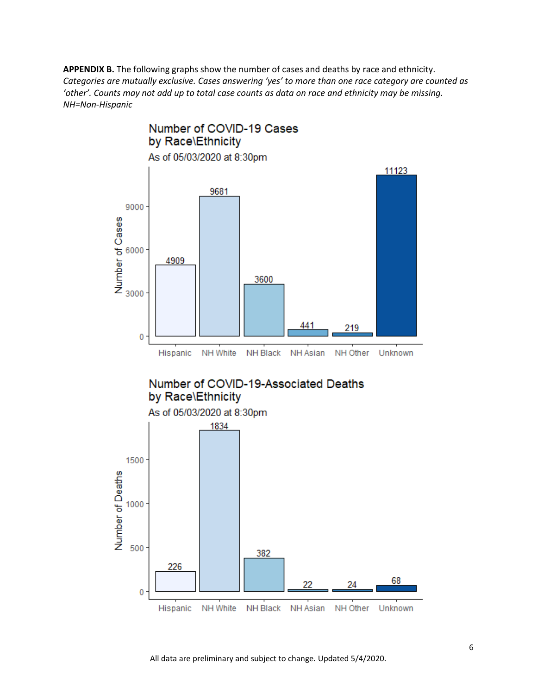**APPENDIX B.** The following graphs show the number of cases and deaths by race and ethnicity. *Categories are mutually exclusive. Cases answering 'yes' to more than one race category are counted as 'other'. Counts may not add up to total case counts as data on race and ethnicity may be missing. NH=Non-Hispanic*